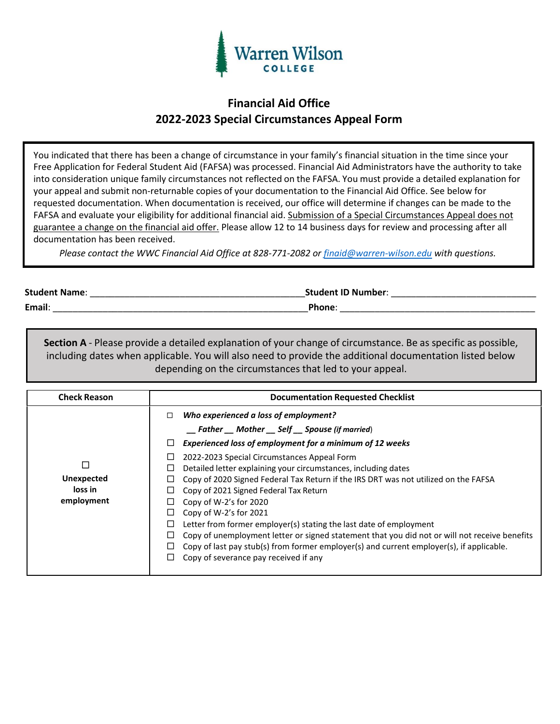

## **Financial Aid Office 2022-2023 Special Circumstances Appeal Form**

You indicated that there has been a change of circumstance in your family's financial situation in the time since your Free Application for Federal Student Aid (FAFSA) was processed. Financial Aid Administrators have the authority to take into consideration unique family circumstances not reflected on the FAFSA. You must provide a detailed explanation for your appeal and submit non-returnable copies of your documentation to the Financial Aid Office. See below for requested documentation. When documentation is received, our office will determine if changes can be made to the FAFSA and evaluate your eligibility for additional financial aid. Submission of a Special Circumstances Appeal does not guarantee a change on the financial aid offer. Please allow 12 to 14 business days for review and processing after all documentation has been received.

*Please contact the WWC Financial Aid Office at 828-771-2082 or [finaid@warren-wilson.edu](mailto:finaid@warren-wilson.edu) with questions.*

 **Student Name**: \_\_\_\_\_\_\_\_\_\_\_\_\_\_\_\_\_\_\_\_\_\_\_\_\_\_\_\_\_\_\_\_\_\_\_\_\_\_\_\_\_\_\_**Student ID Number**: \_\_\_\_\_\_\_\_\_\_\_\_\_\_\_\_\_\_\_\_\_\_\_\_\_\_\_\_\_

 **Email**: \_\_\_\_\_\_\_\_\_\_\_\_\_\_\_\_\_\_\_\_\_\_\_\_\_\_\_\_\_\_\_\_\_\_\_\_\_\_\_\_\_\_\_\_\_\_\_\_\_\_\_**Phone**: \_\_\_\_\_\_\_\_\_\_\_\_\_\_\_\_\_\_\_\_\_\_\_\_\_\_\_\_\_\_\_\_\_\_\_\_\_\_\_

**Section A** - Please provide a detailed explanation of your change of circumstance. Be as specific as possible, including dates when applicable. You will also need to provide the additional documentation listed below depending on the circumstances that led to your appeal.

| <b>Check Reason</b>                        | <b>Documentation Requested Checklist</b>                                                                                                                                                                                                                                                                                                                                                                                                                                            |  |
|--------------------------------------------|-------------------------------------------------------------------------------------------------------------------------------------------------------------------------------------------------------------------------------------------------------------------------------------------------------------------------------------------------------------------------------------------------------------------------------------------------------------------------------------|--|
| <b>Unexpected</b><br>loss in<br>employment | Who experienced a loss of employment?<br>□<br>__ Father __ Mother __ Self __ Spouse (if married)<br>Experienced loss of employment for a minimum of 12 weeks<br>□<br>2022-2023 Special Circumstances Appeal Form<br>□<br>Detailed letter explaining your circumstances, including dates<br>⊔<br>Copy of 2020 Signed Federal Tax Return if the IRS DRT was not utilized on the FAFSA<br>Copy of 2021 Signed Federal Tax Return<br>Copy of $W-2's$ for 2020<br>Copy of W-2's for 2021 |  |
|                                            | Letter from former employer(s) stating the last date of employment<br>⊔<br>Copy of unemployment letter or signed statement that you did not or will not receive benefits<br>⊔<br>Copy of last pay stub(s) from former employer(s) and current employer(s), if applicable.<br>Copy of severance pay received if any                                                                                                                                                                  |  |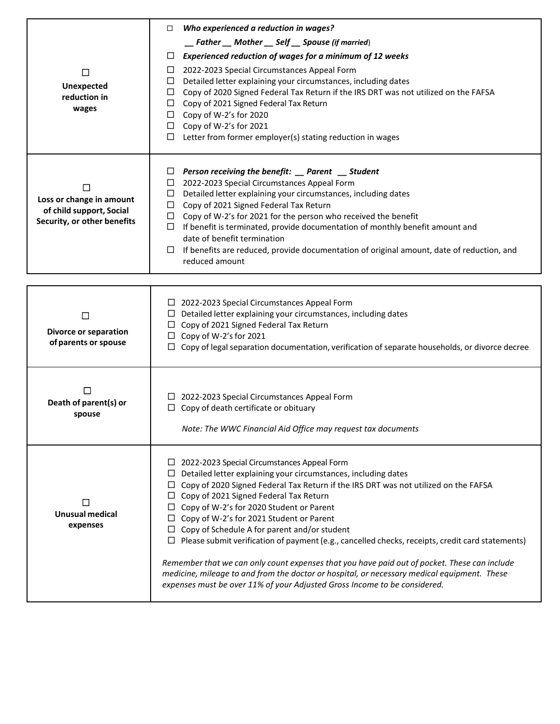|                              | Who experienced a reduction in wages?<br>□                                                                      |  |  |
|------------------------------|-----------------------------------------------------------------------------------------------------------------|--|--|
|                              | __ Father __ Mother __ Self __ Spouse (if married)                                                              |  |  |
|                              | Experienced reduction of wages for a minimum of 12 weeks<br>⊔                                                   |  |  |
| $\Box$                       | 2022-2023 Special Circumstances Appeal Form<br>$\Box$                                                           |  |  |
| <b>Unexpected</b>            | Detailed letter explaining your circumstances, including dates<br>$\Box$                                        |  |  |
| reduction in                 | $\Box$ Copy of 2020 Signed Federal Tax Return if the IRS DRT was not utilized on the FAFSA                      |  |  |
| wages                        | $\Box$ Copy of 2021 Signed Federal Tax Return                                                                   |  |  |
|                              | $\Box$ Copy of W-2's for 2020                                                                                   |  |  |
|                              | $\Box$ Copy of W-2's for 2021                                                                                   |  |  |
|                              | Letter from former employer(s) stating reduction in wages<br>□                                                  |  |  |
|                              |                                                                                                                 |  |  |
|                              | Person receiving the benefit: _ Parent _ Student<br>ப<br>2022-2023 Special Circumstances Appeal Form<br>ப       |  |  |
|                              | Detailed letter explaining your circumstances, including dates<br>$\Box$                                        |  |  |
| Loss or change in amount     | Copy of 2021 Signed Federal Tax Return<br>$\Box$                                                                |  |  |
| of child support, Social     | Copy of W-2's for 2021 for the person who received the benefit<br>$\Box$                                        |  |  |
| Security, or other benefits  | If benefit is terminated, provide documentation of monthly benefit amount and<br>$\Box$                         |  |  |
|                              | date of benefit termination                                                                                     |  |  |
|                              | If benefits are reduced, provide documentation of original amount, date of reduction, and<br>$\Box$             |  |  |
|                              | reduced amount                                                                                                  |  |  |
|                              |                                                                                                                 |  |  |
|                              |                                                                                                                 |  |  |
|                              | $\Box$ 2022-2023 Special Circumstances Appeal Form                                                              |  |  |
| $\Box$                       | Detailed letter explaining your circumstances, including dates<br>$\Box$ Copy of 2021 Signed Federal Tax Return |  |  |
| <b>Divorce or separation</b> | $\Box$ Copy of W-2's for 2021                                                                                   |  |  |
| of parents or spouse         | $\Box$ Copy of legal separation documentation, verification of separate households, or divorce decree           |  |  |
|                              |                                                                                                                 |  |  |
|                              |                                                                                                                 |  |  |
|                              | □ 2022-2023 Special Circumstances Appeal Form                                                                   |  |  |
| Death of parent(s) or        | $\Box$ Copy of death certificate or obituary                                                                    |  |  |
| spouse                       |                                                                                                                 |  |  |
|                              | Note: The WWC Financial Aid Office may request tax documents                                                    |  |  |
|                              | $\Box$ 2022-2023 Special Circumstances Appeal Form                                                              |  |  |
|                              | Detailed letter explaining your circumstances, including dates                                                  |  |  |
|                              | Copy of 2020 Signed Federal Tax Return if the IRS DRT was not utilized on the FAFSA                             |  |  |
|                              | Copy of 2021 Signed Federal Tax Return                                                                          |  |  |
| L                            | Copy of W-2's for 2020 Student or Parent<br>⊔.                                                                  |  |  |
| <b>Unusual medical</b>       | Copy of W-2's for 2021 Student or Parent<br>ப                                                                   |  |  |
| expenses                     | Copy of Schedule A for parent and/or student<br>Ц                                                               |  |  |
|                              | Please submit verification of payment (e.g., cancelled checks, receipts, credit card statements)<br>ப           |  |  |
|                              | Remember that we can only count expenses that you have paid out of pocket. These can include                    |  |  |
|                              | medicine, mileage to and from the doctor or hospital, or necessary medical equipment. These                     |  |  |
|                              | expenses must be over 11% of your Adjusted Gross Income to be considered.                                       |  |  |
|                              |                                                                                                                 |  |  |